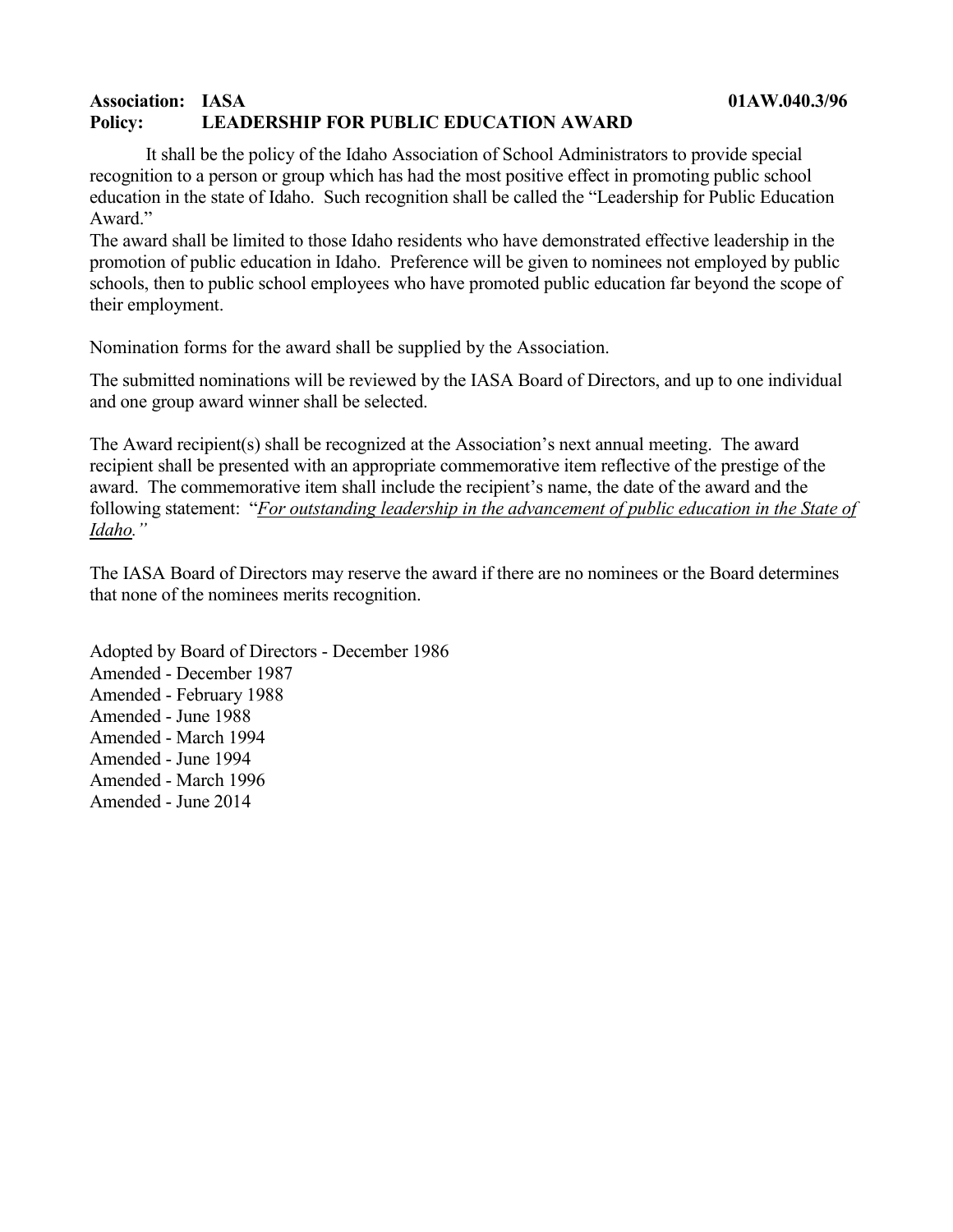## **Association: IASA 01AW.040.3/96 Policy: LEADERSHIP FOR PUBLIC EDUCATION AWARD**

It shall be the policy of the Idaho Association of School Administrators to provide special recognition to a person or group which has had the most positive effect in promoting public school education in the state of Idaho. Such recognition shall be called the "Leadership for Public Education Award."

The award shall be limited to those Idaho residents who have demonstrated effective leadership in the promotion of public education in Idaho. Preference will be given to nominees not employed by public schools, then to public school employees who have promoted public education far beyond the scope of their employment.

Nomination forms for the award shall be supplied by the Association.

The submitted nominations will be reviewed by the IASA Board of Directors, and up to one individual and one group award winner shall be selected.

The Award recipient(s) shall be recognized at the Association's next annual meeting. The award recipient shall be presented with an appropriate commemorative item reflective of the prestige of the award. The commemorative item shall include the recipient's name, the date of the award and the following statement: "*For outstanding leadership in the advancement of public education in the State of Idaho."*

The IASA Board of Directors may reserve the award if there are no nominees or the Board determines that none of the nominees merits recognition.

Adopted by Board of Directors - December 1986 Amended - December 1987 Amended - February 1988 Amended - June 1988 Amended - March 1994 Amended - June 1994 Amended - March 1996 Amended - June 2014